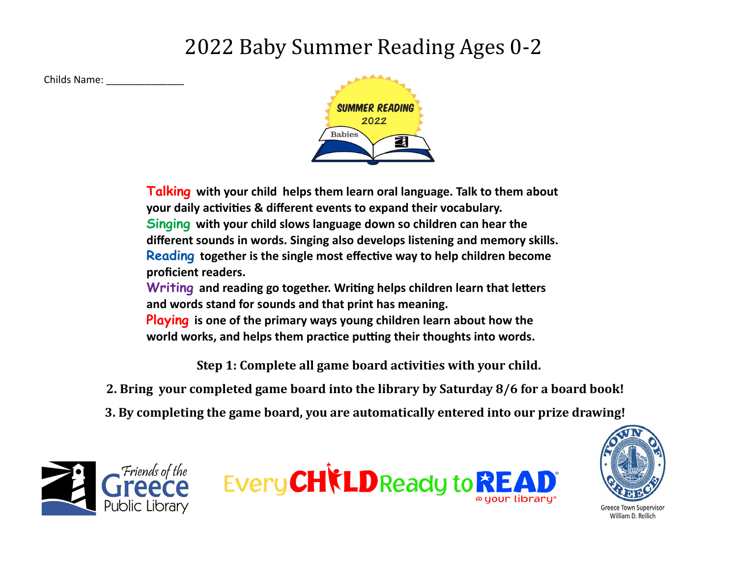## 2022 Baby Summer Reading Ages 0-2

Childs Name: \_\_\_\_\_\_\_\_\_\_\_\_\_\_



**Talking with your child helps them learn oral language. Talk to them about your daily activities & different events to expand their vocabulary. Singing with your child slows language down so children can hear the different sounds in words. Singing also develops listening and memory skills. Reading together is the single most effective way to help children become proficient readers.** 

**Writing and reading go together. Writing helps children learn that letters and words stand for sounds and that print has meaning.**

**Playing is one of the primary ways young children learn about how the world works, and helps them practice putting their thoughts into words.**

**Step 1: Complete all game board activities with your child.** 

- **2. Bring your completed game board into the library by Saturday 8/6 for a board book!**
- **3. By completing the game board, you are automatically entered into our prize drawing!**







Greece Town Superviso William D. Reilich